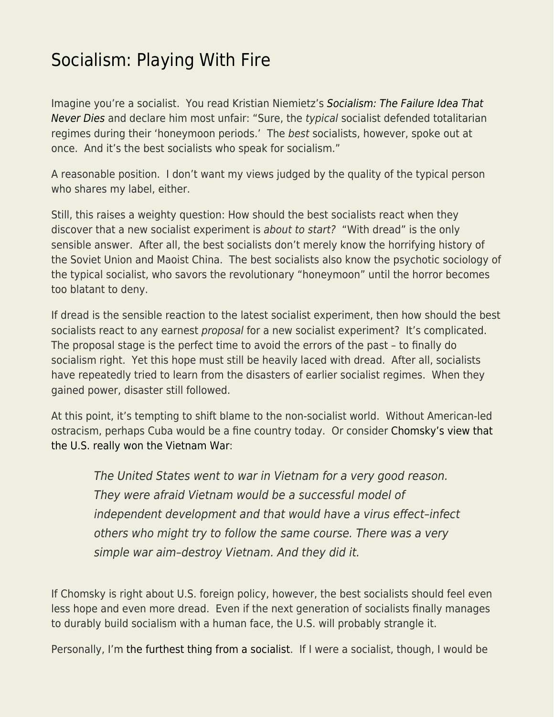## [Socialism: Playing With Fire](https://everything-voluntary.com/socialism-playing-with-fire)

Imagine you're a socialist. You read Kristian Niemietz's [Socialism: The Failure Idea That](https://www.econlib.org/socialism-the-failed-idea-that-never-dies/) [Never Dies](https://www.econlib.org/socialism-the-failed-idea-that-never-dies/) and declare him most unfair: "Sure, the typical socialist defended totalitarian regimes during their 'honeymoon periods.' The best socialists, however, spoke out at once. And it's the best socialists who speak for socialism."

A reasonable position. I don't want my views judged by the quality of the typical person who shares my label, either.

Still, this raises a weighty question: How should the best socialists react when they discover that a new socialist experiment is about to start? "With dread" is the only sensible answer. After all, the best socialists don't merely know the horrifying history of the Soviet Union and Maoist China. The best socialists also know the psychotic sociology of the typical socialist, who savors the revolutionary "honeymoon" until the horror becomes too blatant to deny.

If dread is the sensible reaction to the latest socialist experiment, then how should the best socialists react to any earnest *proposal* for a new socialist experiment? It's complicated. The proposal stage is the perfect time to avoid the errors of the past – to finally do socialism right. Yet this hope must still be heavily laced with dread. After all, socialists have repeatedly tried to learn from the disasters of earlier socialist regimes. When they gained power, disaster still followed.

At this point, it's tempting to shift blame to the non-socialist world. Without American-led ostracism, perhaps Cuba would be a fine country today. Or consider [Chomsky's view that](https://www.newsweek.com/last-word-noam-chomsky-108293) [the U.S. really won the Vietnam War:](https://www.newsweek.com/last-word-noam-chomsky-108293)

The United States went to war in Vietnam for a very good reason. They were afraid Vietnam would be a successful model of independent development and that would have a virus effect–infect others who might try to follow the same course. There was a very simple war aim–destroy Vietnam. And they did it.

If Chomsky is right about U.S. foreign policy, however, the best socialists should feel even less hope and even more dread. Even if the next generation of socialists finally manages to durably build socialism with a human face, the U.S. will probably strangle it.

Personally, I'm [the furthest thing from a socialist.](https://www.econlib.org/socialism-vs-capitalism-my-debate-with-john-marsh/) If I were a socialist, though, I would be